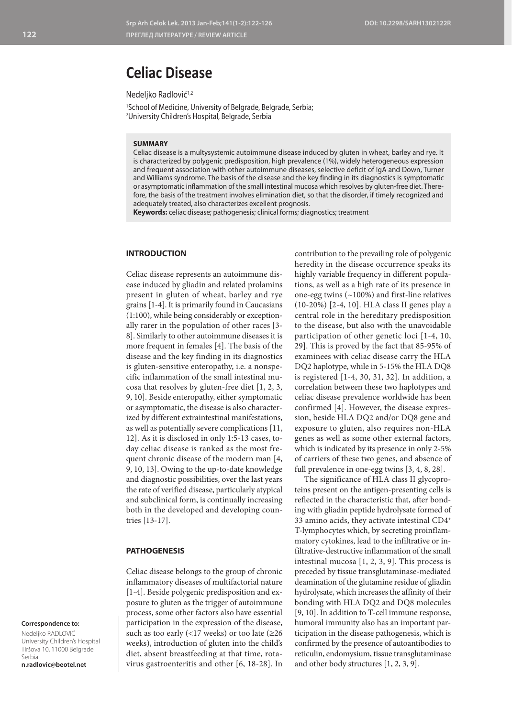# **Celiac Disease**

Nedeliko Radlović<sup>1,2</sup>

1 School of Medicine, University of Belgrade, Belgrade, Serbia; 2 University Children's Hospital, Belgrade, Serbia

# **SUMMARY**

Celiac disease is a multysystemic autoimmune disease induced by gluten in wheat, barley and rye. It is characterized by polygenic predisposition, high prevalence (1%), widely heterogeneous expression and frequent association with other autoimmune diseases, selective deficit of IgA and Down, Turner and Williams syndrome. The basis of the disease and the key finding in its diagnostics is symptomatic or asymptomatic inflammation of the small intestinal mucosa which resolves by gluten-free diet. Therefore, the basis of the treatment involves elimination diet, so that the disorder, if timely recognized and adequately treated, also characterizes excellent prognosis.

**Keywords:** celiac disease; pathogenesis; clinical forms; diagnostics; treatment

#### **INTRODUCTION**

Celiac disease represents an autoimmune disease induced by gliadin and related prolamins present in gluten of wheat, barley and rye grains [1-4]. It is primarily found in Caucasians (1:100), while being considerably or exceptionally rarer in the population of other races [3- 8]. Similarly to other autoimmune diseases it is more frequent in females [4]. The basis of the disease and the key finding in its diagnostics is gluten-sensitive enteropathy, i.e. a nonspecific inflammation of the small intestinal mucosa that resolves by gluten-free diet [1, 2, 3, 9, 10]. Beside enteropathy, either symptomatic or asymptomatic, the disease is also characterized by different extraintestinal manifestations, as well as potentially severe complications [11, 12]. As it is disclosed in only 1:5-13 cases, today celiac disease is ranked as the most frequent chronic disease of the modern man [4, 9, 10, 13]. Owing to the up-to-date knowledge and diagnostic possibilities, over the last years the rate of verified disease, particularly atypical and subclinical form, is continually increasing both in the developed and developing countries [13-17].

### **PATHOGENESIS**

Celiac disease belongs to the group of chronic inflammatory diseases of multifactorial nature [1-4]. Beside polygenic predisposition and exposure to gluten as the trigger of autoimmune process, some other factors also have essential participation in the expression of the disease, such as too early (<17 weeks) or too late ( $\geq 26$ weeks), introduction of gluten into the child's diet, absent breastfeeding at that time, rotavirus gastroenteritis and other [6, 18-28]. In contribution to the prevailing role of polygenic heredity in the disease occurrence speaks its highly variable frequency in different populations, as well as a high rate of its presence in one-egg twins (~100%) and first-line relatives (10-20%) [2-4, 10]. HLA class II genes play a central role in the hereditary predisposition to the disease, but also with the unavoidable participation of other genetic loci [1-4, 10, 29]. This is proved by the fact that 85-95% of examinees with celiac disease carry the HLA DQ2 haplotype, while in 5-15% the HLA DQ8 is registered [1-4, 30, 31, 32]. In addition, a correlation between these two haplotypes and celiac disease prevalence worldwide has been confirmed [4]. However, the disease expression, beside HLA DQ2 and/or DQ8 gene and exposure to gluten, also requires non-HLA genes as well as some other external factors, which is indicated by its presence in only 2-5% of carriers of these two genes, and absence of full prevalence in one-egg twins [3, 4, 8, 28].

The significance of HLA class II glycoproteins present on the antigen-presenting cells is reflected in the characteristic that, after bonding with gliadin peptide hydrolysate formed of 33 amino acids, they activate intestinal CD4+ T-lymphocytes which, by secreting proinflammatory cytokines, lead to the infiltrative or infiltrative-destructive inflammation of the small intestinal mucosa [1, 2, 3, 9]. This process is preceded by tissue transglutaminase-mediated deamination of the glutamine residue of gliadin hydrolysate, which increases the affinity of their bonding with HLA DQ2 and DQ8 molecules [9, 10]. In addition to T-cell immune response, humoral immunity also has an important participation in the disease pathogenesis, which is confirmed by the presence of autoantibodies to reticulin, endomysium, tissue transglutaminase and other body structures [1, 2, 3, 9].

**Correspondence to:**

Nedeljko RADLOVIĆ University Children's Hospital Tiršova 10, 11000 Belgrade Serbia **n.radlovic@beotel.net**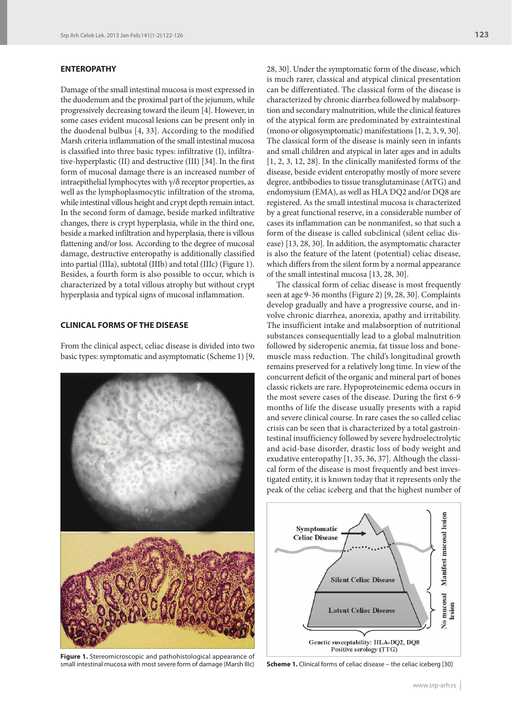# **ENTEROPATHY**

Damage of the small intestinal mucosa is most expressed in the duodenum and the proximal part of the jejunum, while progressively decreasing toward the ileum [4]. However, in some cases evident mucosal lesions can be present only in the duodenal bulbus [4, 33]. According to the modified Marsh criteria inflammation of the small intestinal mucosa is classified into three basic types: infiltrative (I), infiltrative-hyperplastic (II) and destructive (III) [34]. In the first form of mucosal damage there is an increased number of intraepithelial lymphocytes with  $\gamma/\delta$  receptor properties, as well as the lymphoplasmocytic infiltration of the stroma, while intestinal villous height and crypt depth remain intact. In the second form of damage, beside marked infiltrative changes, there is crypt hyperplasia, while in the third one, beside a marked infiltration and hyperplasia, there is villous flattening and/or loss. According to the degree of mucosal damage, destructive enteropathy is additionally classified into partial (IIIa), subtotal (IIIb) and total (IIIc) (Figure 1). Besides, a fourth form is also possible to occur, which is characterized by a total villous atrophy but without crypt hyperplasia and typical signs of mucosal inflammation.

# **CLINICAL FORMS OF THE DISEASE**

From the clinical aspect, celiac disease is divided into two basic types: symptomatic and asymptomatic (Scheme 1) [9,



**Figure 1.** Stereomicroscopic and pathohistological appearance of small intestinal mucosa with most severe form of damage (Marsh IIIc) **Scheme 1.** Clinical forms of celiac disease – the celiac iceberg [30]

28, 30]. Under the symptomatic form of the disease, which is much rarer, classical and atypical clinical presentation can be differentiated. The classical form of the disease is characterized by chronic diarrhea followed by malabsorption and secondary malnutrition, while the clinical features of the atypical form are predominated by extraintestinal (mono or oligosymptomatic) manifestations [1, 2, 3, 9, 30]. The classical form of the disease is mainly seen in infants and small children and atypical in later ages and in adults [1, 2, 3, 12, 28]. In the clinically manifested forms of the disease, beside evident enteropathy mostly of more severe degree, antbibodies to tissue transglutaminase (AtTG) and endomysium (EMA), as well as HLA DQ2 and/or DQ8 are registered. As the small intestinal mucosa is characterized by a great functional reserve, in a considerable number of cases its inflammation can be nonmanifest, so that such a form of the disease is called subclinical (silent celiac disease) [13, 28, 30]. In addition, the asymptomatic character is also the feature of the latent (potential) celiac disease, which differs from the silent form by a normal appearance of the small intestinal mucosa [13, 28, 30].

The classical form of celiac disease is most frequently seen at age 9-36 months (Figure 2) [9, 28, 30]. Complaints develop gradually and have a progressive course, and involve chronic diarrhea, anorexia, apathy and irritability. The insufficient intake and malabsorption of nutritional substances consequentially lead to a global malnutrition followed by sideropenic anemia, fat tissue loss and bonemuscle mass reduction. The child's longitudinal growth remains preserved for a relatively long time. In view of the concurrent deficit of the organic and mineral part of bones classic rickets are rare. Hypoproteinemic edema occurs in the most severe cases of the disease. During the first 6-9 months of life the disease usually presents with a rapid and severe clinical course. In rare cases the so called celiac crisis can be seen that is characterized by a total gastrointestinal insufficiency followed by severe hydroelectrolytic and acid-base disorder, drastic loss of body weight and exudative enteropathy [1, 35, 36, 37]. Although the classical form of the disease is most frequently and best investigated entity, it is known today that it represents only the peak of the celiac iceberg and that the highest number of

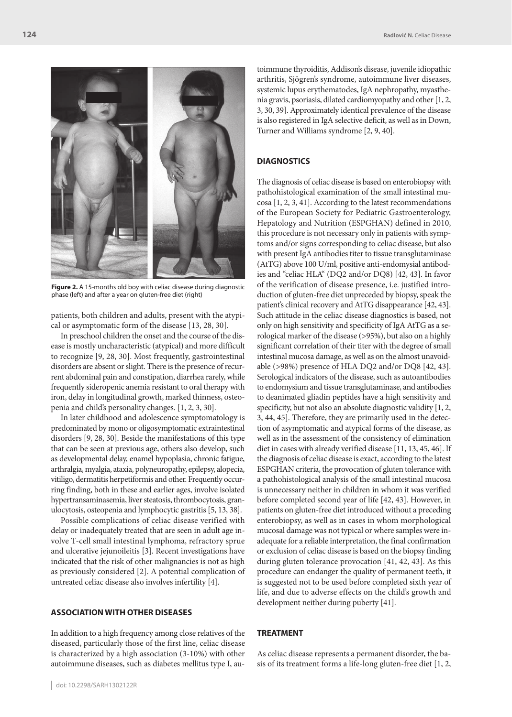

**Figure 2.** A 15-months old boy with celiac disease during diagnostic phase (left) and after a year on gluten-free diet (right)

patients, both children and adults, present with the atypical or asymptomatic form of the disease [13, 28, 30].

In preschool children the onset and the course of the disease is mostly uncharacteristic (atypical) and more difficult to recognize [9, 28, 30]. Most frequently, gastrointestinal disorders are absent or slight. There is the presence of recurrent abdominal pain and constipation, diarrhea rarely, while frequently sideropenic anemia resistant to oral therapy with iron, delay in longitudinal growth, marked thinness, osteopenia and child's personality changes. [1, 2, 3, 30].

In later childhood and adolescence symptomatology is predominated by mono or oligosymptomatic extraintestinal disorders [9, 28, 30]. Beside the manifestations of this type that can be seen at previous age, others also develop, such as developmental delay, enamel hypoplasia, chronic fatigue, arthralgia, myalgia, ataxia, polyneuropathy, epilepsy, alopecia, vitiligo, dermatitis herpetiformis and other. Frequently occurring finding, both in these and earlier ages, involve isolated hypertransaminasemia, liver steatosis, thrombocytosis, granulocytosis, osteopenia and lymphocytic gastritis [5, 13, 38].

Possible complications of celiac disease verified with delay or inadequately treated that are seen in adult age involve T-cell small intestinal lymphoma, refractory sprue and ulcerative jejunoileitis [3]. Recent investigations have indicated that the risk of other malignancies is not as high as previously considered [2]. A potential complication of untreated celiac disease also involves infertility [4].

# **ASSOCIATION WITH OTHER DISEASES**

In addition to a high frequency among close relatives of the diseased, particularly those of the first line, celiac disease is characterized by a high association (3-10%) with other autoimmune diseases, such as diabetes mellitus type I, au-

toimmune thyroiditis, Addison's disease, juvenile idiopathic arthritis, Sjögren's syndrome, autoimmune liver diseases, systemic lupus erythematodes, IgA nephropathy, myasthenia gravis, psoriasis, dilated cardiomyopathy and other [1, 2, 3, 30, 39]. Approximately identical prevalence of the disease is also registered in IgA selective deficit, as well as in Down, Turner and Williams syndrome [2, 9, 40].

#### **DIAGNOSTICS**

The diagnosis of celiac disease is based on enterobiopsy with pathohistological examination of the small intestinal mucosa [1, 2, 3, 41]. According to the latest recommendations of the European Society for Pediatric Gastroenterology, Hepatology and Nutrition (ESPGHAN) defined in 2010, this procedure is not necessary only in patients with symptoms and/or signs corresponding to celiac disease, but also with present IgA antibodies titer to tissue transglutaminase (AtTG) above 100 U/ml, positive anti-endomysial antibodies and "celiac HLA" (DQ2 and/or DQ8) [42, 43]. In favor of the verification of disease presence, i.e. justified introduction of gluten-free diet unpreceded by biopsy, speak the patient's clinical recovery and AtTG disappearance [42, 43]. Such attitude in the celiac disease diagnostics is based, not only on high sensitivity and specificity of IgA AtTG as a serological marker of the disease (>95%), but also on a highly significant correlation of their titer with the degree of small intestinal mucosa damage, as well as on the almost unavoidable (>98%) presence of HLA DQ2 and/or DQ8 [42, 43]. Serological indicators of the disease, such as autoantibodies to endomysium and tissue transglutaminase, and antibodies to deanimated gliadin peptides have a high sensitivity and specificity, but not also an absolute diagnostic validity [1, 2, 3, 44, 45]. Therefore, they are primarily used in the detection of asymptomatic and atypical forms of the disease, as well as in the assessment of the consistency of elimination diet in cases with already verified disease [11, 13, 45, 46]. If the diagnosis of celiac disease is exact, according to the latest ESPGHAN criteria, the provocation of gluten tolerance with a pathohistological analysis of the small intestinal mucosa is unnecessary neither in children in whom it was verified before completed second year of life [42, 43]. However, in patients on gluten-free diet introduced without a preceding enterobiopsy, as well as in cases in whom morphological mucosal damage was not typical or where samples were inadequate for a reliable interpretation, the final confirmation or exclusion of celiac disease is based on the biopsy finding during gluten tolerance provocation [41, 42, 43]. As this procedure can endanger the quality of permanent teeth, it is suggested not to be used before completed sixth year of life, and due to adverse effects on the child's growth and development neither during puberty [41].

# **TREATMENT**

As celiac disease represents a permanent disorder, the basis of its treatment forms a life-long gluten-free diet [1, 2,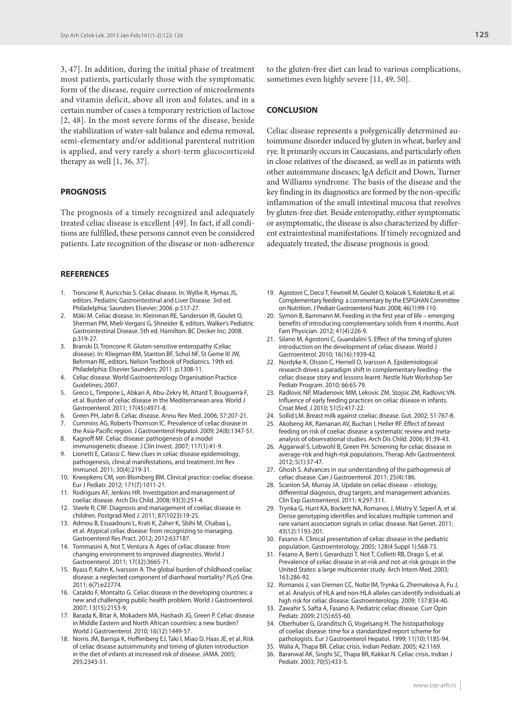3, 47]. In addition, during the initial phase of treatment most patients, particularly those with the symptomatic form of the disease, require correction of microelements and vitamin deficit, above all iron and folates, and in a certain number of cases a temporary restriction of lactose [2, 48]. In the most severe forms of the disease, beside the stabilization of water-salt balance and edema removal, semi-elementary and/or additional parenteral nutrition is applied, and very rarely a short-term glucocorticoid therapy as well [1, 36, 37].

#### **PROGNOSIS**

The prognosis of a timely recognized and adequately treated celiac disease is excellent [49]. In fact, if all conditions are fulfilled, these persons cannot even be considered patients. Late recognition of the disease or non-adherence

#### **REFERENCES**

- 1. Troncone R, Auricchio S. Celiac disease. In: Wyllie R, Hymas JS, editors. Pediatric Gastrointestinal and Liver Disease. 3rd ed. Philadelphia: Saunders Elsevier; 2006. p.517-27.
- 2. Mäki M. Celiac disease. In: Kleinman RE, Sanderson IR, Goulet O, Sherman PM, Mieli-Vergani G, Shneider B, editors. Walker's Pediatric Gastrointestinal Disease. 5th ed. Hamilton: BC Decker Inc; 2008. p.319-27.
- 3. Branski D, Troncone R. Gluten-sensitive enteropathy (Celiac disease). In: Kliegman RM, Stanton BF, Schol NF, St Geme III JW, Behrman RE, editors. Nelson Textbook of Pediatrics. 19th ed. Philadelphia: Elsevier Saunders; 2011. p.1308-11.
- 4. Celiac disease. World Gastroenterology Organisation Practice Guidelines; 2007.
- 5. Greco L, Timpone L, Abkari A, Abu-Zekry M, Attard T, Bouguerrà F, et al. Burden of celiac disease in the Mediterranean area. World J Gastroenterol. 2011; 17(45):4971-8.
- 6. Green PH, Jabri B. Celiac disease. Annu Rev Med. 2006; 57:207-21. Cummins AG, Roberts-Thomson IC. Prevalence of celiac disease in
- the Asia-Pacific region. J Gastroenterol Hepatol. 2009; 24(8):1347-51. 8. Kagnoff MF. Celiac disease: pathogenesis of a model
- immunogenetic disease. J Clin Invest. 2007; 117(1):41-9.
- 9. Lionetti E, Catassi C. New clues in celiac disease epidemiology, pathogenesis, clinical manifestations, and treatment. Int Rev Immunol. 2011; 30(4):219-31.
- 10. Kneepkens CM, von Blomberg BM. Clinical practice: coeliac disease. Eur J Pediatr. 2012; 171(7):1011-21.
- 11. Rodrigues AF, Jenkins HR. Investigation and management of coeliac disease. Arch Dis Child. 2008; 93(3):251-4.
- 12. Steele R; CRF. Diagnosis and management of coeliac disease in children. Postgrad Med J. 2011; 87(1023):19-25.
- 13. Admou B, Essaadouni L, Krati K, Zaher K, Sbihi M, Chabaa L, et al. Atypical celiac disease: from recognizing to managing. Gastroenterol Res Pract. 2012; 2012:637187.
- 14. Tommasini A, Not T, Ventura A. Ages of celiac disease: from changing environment to improved diagnostics. World J Gastroenterol. 2011; 17(32):3665-71.
- 15. Byass P, Kahn K, Ivarsson A. The global burden of childhood coeliac disease: a neglected component of diarrhoeal mortality? PLoS One. 2011; 6(7):e22774.
- 16. Cataldo F, Montalto G. Celiac disease in the developing countries: a new and challenging public health problem. World J Gastroenterol. 2007; 13(15):2153-9.
- 17. Barada K, Bitar A, Mokadem MA, Hashash JG, Green P. Celiac disease in Middle Eastern and North African countries: a new burden? World J Gastroenterol. 2010; 16(12):1449-57.
- 18. Norris JM, Barriga K, Hoffenberg EJ, Taki I, Miao D, Haas JE, et al. Risk of celiac disease autoimmunity and timing of gluten introduction in the diet of infants at increased risk of disease. JAMA. 2005; 293:2343-51.

to the gluten-free diet can lead to various complications, sometimes even highly severe [11, 49, 50].

#### **CONCLUSION**

Celiac disease represents a polygenically determined autoimmune disorder induced by gluten in wheat, barley and rye. It primarily occurs in Caucasians, and particularly often in close relatives of the diseased, as well as in patients with other autoimmune diseases; IgA deficit and Down, Turner and Williams syndrome. The basis of the disease and the key finding in its diagnostics are formed by the non-specific inflammation of the small intestinal mucosa that resolves by gluten-free diet. Beside enteropathy, either symptomatic or asymptomatic, the disease is also characterized by different extraintestinal manifestations. If timely recognized and adequately treated, the disease prognosis is good.

- 19. Agostoni C, Decsi T, Fewtrell M, Goulet O, Kolacek S, Koletzko B, et al. Complementary feeding: a commentary by the ESPGHAN Committee on Nutrition. J Pediatr Gastroenterol Nutr. 2008; 46(1):99-110.
- 20. Symon B, Bammann M. Feeding in the first year of life emerging benefits of introducing complementary solids from 4 months. Aust Fam Physician. 2012; 41(4):226-9.
- 21. Silano M, Agostoni C, Guandalini S. Effect of the timing of gluten introduction on the development of celiac disease. World J Gastroenterol. 2010; 16(16):1939-42.
- 22. Nordyke K, Olsson C, Hernell O, Ivarsson A. Epidemiological research drives a paradigm shift in complementary feeding - the celiac disease story and lessons learnt. Nestle Nutr Workshop Ser Pediatr Program. 2010; 66:65-79.
- 23. Radlovic NP, Mladenovic MM, Lekovic ZM, Stojsic ZM, Radlovic VN. Influence of early feeding practices on celiac disease in infants. Croat Med. J 2010; 51(5):417-22.
- 24. Sollid LM. Breast milk against coeliac disease. Gut. 2002; 51:767-8.
- Akobeng AK, Ramanan AV, Buchan I, Heller RF. Effect of breast feeding on risk of coeliac disease: a systematic review and metaanalysis of observational studies. Arch Dis Child. 2006; 91:39-43.
- 26. Aggarwal S, Lebwohl B, Green PH. Screening for celiac disease in average-risk and high-risk populations. Therap Adv Gastroenterol. 2012; 5(1):37-47.
- 27. Ghosh S. Advances in our understanding of the pathogenesis of celiac disease. Can J Gastroenterol. 2011; 25(4):186.
- 28. Scanlon SA, Murray JA. Update on celiac disease etiology, differential diagnosis, drug targets, and management advances. Clin Exp Gastroenterol. 2011; 4:297-311.
- 29. Trynka G, Hunt KA, Bockett NA, Romanos J, Mistry V, Szperl A, et al. Dense genotyping identifies and localizes multiple common and rare variant association signals in celiac disease. Nat Genet. 2011; 43(12):1193-201.
- 30. Fasano A. Clinical presentation of celiac disease in the pediatric population. Gastroenterology. 2005; 128(4 Suppl 1):S68-73.
- 31. Fasano A, Berti I, Gerarduzzi T, Not T, Colletti RB, Drago S, et al. Prevalence of celiac disease in at-risk and not-at-risk groups in the United States: a large multicenter study. Arch Intern Med. 2003; 163:286-92.
- 32. Romanos J, van Diemen CC, Nolte IM, Trynka G, Zhernakova A, Fu J, et al. Analysis of HLA and non-HLA alleles can identify individuals at high risk for celiac disease. Gastroenterology. 2009; 137:834-40.
- 33. Zawahir S, Safta A, Fasano A. Pediatric celiac disease. Curr Opin Pediatr. 2009; 21(5):655-60.
- 34. Oberhuber G, Granditsch G, Vogelsang H. The histopathology of coeliac disease: time for a standardized report scheme for pathologists. Eur J Gastroenterol Hepatol. 1999; 11(10):1185-94.
- 35. Walia A, Thapa BR. Celiac crisis. Indian Pediatr. 2005; 42:1169.
- 36. Baranwal AK, Singhi SC, Thapa BR, Kakkar N. Celiac crisis. Indian J Pediatr. 2003; 70(5):433-5.